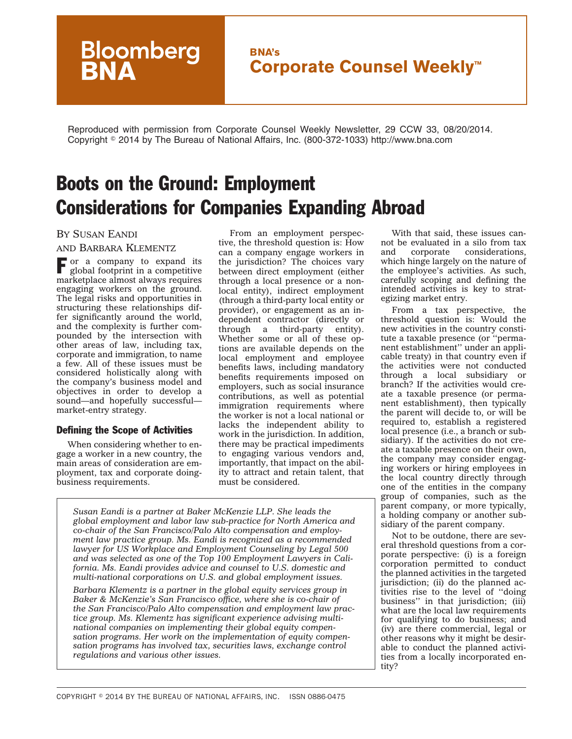## **BNA's Corporate Counsel Weekly™**

Reproduced with permission from Corporate Counsel Weekly Newsletter, 29 CCW 33, 08/20/2014. Copyright - 2014 by The Bureau of National Affairs, Inc. (800-372-1033) http://www.bna.com

# Boots on the Ground: Employment Considerations for Companies Expanding Abroad

## BY SUSAN EANDI

#### AND BARBARA KLEMENTZ

**Bloomberg**<br>**BNA** 

 $\Gamma$  or a company to expand its global footprint in a competitive marketplace almost always requires engaging workers on the ground. The legal risks and opportunities in structuring these relationships differ significantly around the world, and the complexity is further compounded by the intersection with other areas of law, including tax, corporate and immigration, to name a few. All of these issues must be considered holistically along with the company's business model and objectives in order to develop a sound—and hopefully successful market-entry strategy.

### Defining the Scope of Activities

When considering whether to engage a worker in a new country, the main areas of consideration are employment, tax and corporate doingbusiness requirements.

From an employment perspective, the threshold question is: How can a company engage workers in the jurisdiction? The choices vary between direct employment (either through a local presence or a nonlocal entity), indirect employment (through a third-party local entity or provider), or engagement as an independent contractor (directly or through a third-party entity). Whether some or all of these options are available depends on the local employment and employee benefits laws, including mandatory benefits requirements imposed on employers, such as social insurance contributions, as well as potential immigration requirements where the worker is not a local national or lacks the independent ability to work in the jurisdiction. In addition, there may be practical impediments to engaging various vendors and, importantly, that impact on the ability to attract and retain talent, that must be considered.

*Susan Eandi is a partner at Baker McKenzie LLP. She leads the global employment and labor law sub-practice for North America and co-chair of the San Francisco/Palo Alto compensation and employment law practice group. Ms. Eandi is recognized as a recommended lawyer for US Workplace and Employment Counseling by Legal 500 and was selected as one of the Top 100 Employment Lawyers in California. Ms. Eandi provides advice and counsel to U.S. domestic and multi-national corporations on U.S. and global employment issues.*

*Barbara Klementz is a partner in the global equity services group in Baker & McKenzie's San Francisco office, where she is co-chair of the San Francisco/Palo Alto compensation and employment law practice group. Ms. Klementz has significant experience advising multinational companies on implementing their global equity compensation programs. Her work on the implementation of equity compensation programs has involved tax, securities laws, exchange control regulations and various other issues.*

With that said, these issues cannot be evaluated in a silo from tax<br>and corporate considerations, considerations, which hinge largely on the nature of the employee's activities. As such, carefully scoping and defining the intended activities is key to strategizing market entry.

From a tax perspective, the threshold question is: Would the new activities in the country constitute a taxable presence (or ''permanent establishment'' under an applicable treaty) in that country even if the activities were not conducted through a local subsidiary or branch? If the activities would create a taxable presence (or permanent establishment), then typically the parent will decide to, or will be required to, establish a registered local presence (i.e., a branch or subsidiary). If the activities do not create a taxable presence on their own, the company may consider engaging workers or hiring employees in the local country directly through one of the entities in the company group of companies, such as the parent company, or more typically, a holding company or another subsidiary of the parent company.

Not to be outdone, there are several threshold questions from a corporate perspective: (i) is a foreign corporation permitted to conduct the planned activities in the targeted jurisdiction; (ii) do the planned activities rise to the level of ''doing business'' in that jurisdiction; (iii) what are the local law requirements for qualifying to do business; and (iv) are there commercial, legal or other reasons why it might be desirable to conduct the planned activities from a locally incorporated entity?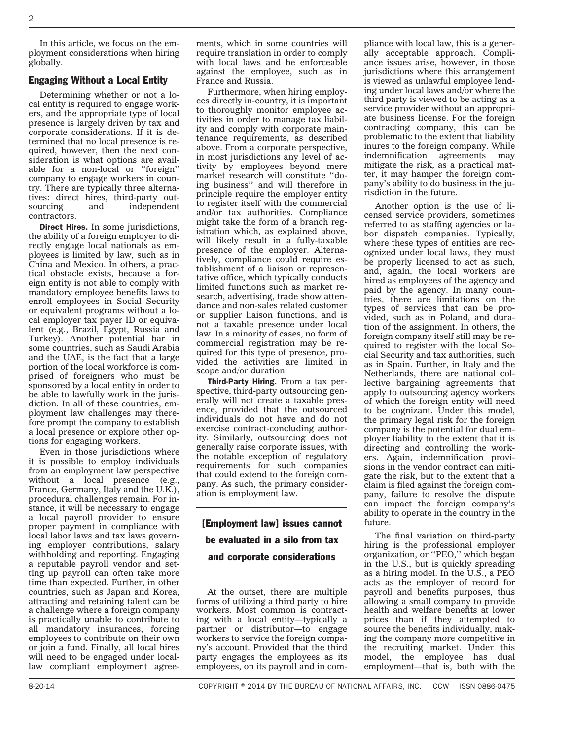In this article, we focus on the employment considerations when hiring globally.

### Engaging Without a Local Entity

Determining whether or not a local entity is required to engage workers, and the appropriate type of local presence is largely driven by tax and corporate considerations. If it is determined that no local presence is required, however, then the next consideration is what options are available for a non-local or ''foreign'' company to engage workers in country. There are typically three alternatives: direct hires, third-party out-<br>sourcing and independent independent contractors.

Direct Hires. In some jurisdictions, the ability of a foreign employer to directly engage local nationals as employees is limited by law, such as in China and Mexico. In others, a practical obstacle exists, because a foreign entity is not able to comply with mandatory employee benefits laws to enroll employees in Social Security or equivalent programs without a local employer tax payer ID or equivalent (e.g., Brazil, Egypt, Russia and Turkey). Another potential bar in some countries, such as Saudi Arabia and the UAE, is the fact that a large portion of the local workforce is comprised of foreigners who must be sponsored by a local entity in order to be able to lawfully work in the jurisdiction. In all of these countries, employment law challenges may therefore prompt the company to establish a local presence or explore other options for engaging workers.

Even in those jurisdictions where it is possible to employ individuals from an employment law perspective without a local presence (e.g., France, Germany, Italy and the U.K.), procedural challenges remain. For instance, it will be necessary to engage a local payroll provider to ensure proper payment in compliance with local labor laws and tax laws governing employer contributions, salary withholding and reporting. Engaging a reputable payroll vendor and setting up payroll can often take more time than expected. Further, in other countries, such as Japan and Korea, attracting and retaining talent can be a challenge where a foreign company is practically unable to contribute to all mandatory insurances, forcing employees to contribute on their own or join a fund. Finally, all local hires will need to be engaged under locallaw compliant employment agreements, which in some countries will require translation in order to comply with local laws and be enforceable against the employee, such as in France and Russia.

Furthermore, when hiring employees directly in-country, it is important to thoroughly monitor employee activities in order to manage tax liability and comply with corporate maintenance requirements, as described above. From a corporate perspective, in most jurisdictions any level of activity by employees beyond mere market research will constitute ''doing business'' and will therefore in principle require the employer entity to register itself with the commercial and/or tax authorities. Compliance might take the form of a branch registration which, as explained above, will likely result in a fully-taxable presence of the employer. Alternatively, compliance could require establishment of a liaison or representative office, which typically conducts limited functions such as market research, advertising, trade show attendance and non-sales related customer or supplier liaison functions, and is not a taxable presence under local law. In a minority of cases, no form of commercial registration may be required for this type of presence, provided the activities are limited in scope and/or duration.

Third-Party Hiring. From a tax perspective, third-party outsourcing generally will not create a taxable presence, provided that the outsourced individuals do not have and do not exercise contract-concluding authority. Similarly, outsourcing does not generally raise corporate issues, with the notable exception of regulatory requirements for such companies that could extend to the foreign company. As such, the primary consideration is employment law.

# [Employment law] issues cannot be evaluated in a silo from tax and corporate considerations

At the outset, there are multiple forms of utilizing a third party to hire workers. Most common is contracting with a local entity—typically a partner or distributor—to engage workers to service the foreign company's account. Provided that the third party engages the employees as its employees, on its payroll and in compliance with local law, this is a generally acceptable approach. Compliance issues arise, however, in those jurisdictions where this arrangement is viewed as unlawful employee lending under local laws and/or where the third party is viewed to be acting as a service provider without an appropriate business license. For the foreign contracting company, this can be problematic to the extent that liability inures to the foreign company. While indemnification agreements may mitigate the risk, as a practical matter, it may hamper the foreign company's ability to do business in the jurisdiction in the future.

Another option is the use of licensed service providers, sometimes referred to as staffing agencies or labor dispatch companies. Typically, where these types of entities are recognized under local laws, they must be properly licensed to act as such, and, again, the local workers are hired as employees of the agency and paid by the agency. In many countries, there are limitations on the types of services that can be provided, such as in Poland, and duration of the assignment. In others, the foreign company itself still may be required to register with the local Social Security and tax authorities, such as in Spain. Further, in Italy and the Netherlands, there are national collective bargaining agreements that apply to outsourcing agency workers of which the foreign entity will need to be cognizant. Under this model, the primary legal risk for the foreign company is the potential for dual employer liability to the extent that it is directing and controlling the workers. Again, indemnification provisions in the vendor contract can mitigate the risk, but to the extent that a claim is filed against the foreign company, failure to resolve the dispute can impact the foreign company's ability to operate in the country in the future.

The final variation on third-party hiring is the professional employer organization, or ''PEO,'' which began in the U.S., but is quickly spreading as a hiring model. In the U.S., a PEO acts as the employer of record for payroll and benefits purposes, thus allowing a small company to provide health and welfare benefits at lower prices than if they attempted to source the benefits individually, making the company more competitive in the recruiting market. Under this model, the employee has dual employment—that is, both with the